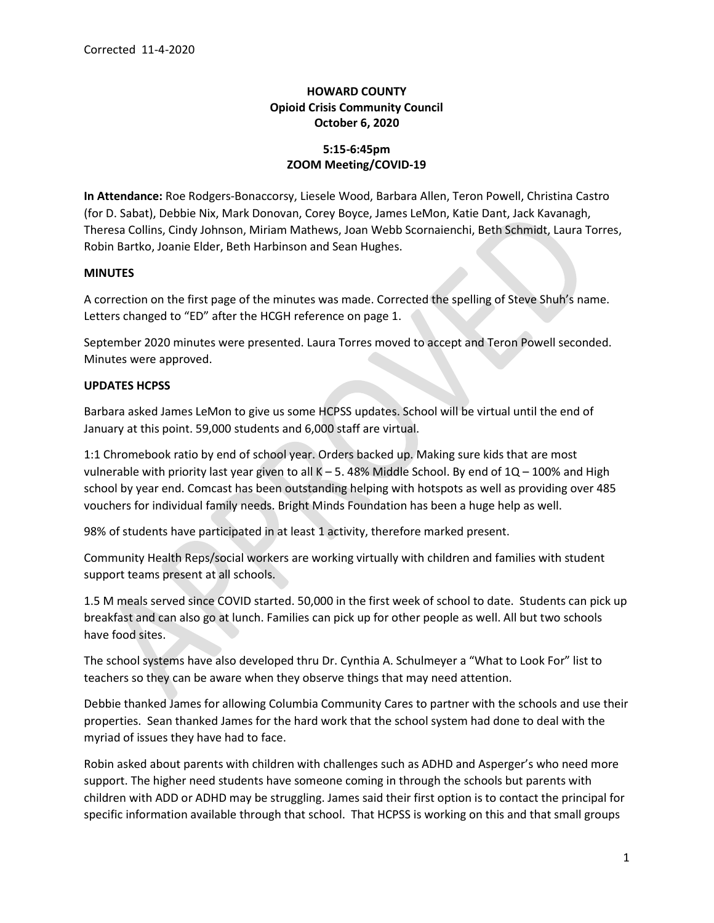# HOWARD COUNTY Opioid Crisis Community Council October 6, 2020

## 5:15-6:45pm ZOOM Meeting/COVID-19

In Attendance: Roe Rodgers-Bonaccorsy, Liesele Wood, Barbara Allen, Teron Powell, Christina Castro (for D. Sabat), Debbie Nix, Mark Donovan, Corey Boyce, James LeMon, Katie Dant, Jack Kavanagh, Theresa Collins, Cindy Johnson, Miriam Mathews, Joan Webb Scornaienchi, Beth Schmidt, Laura Torres, Robin Bartko, Joanie Elder, Beth Harbinson and Sean Hughes.

## **MINUTES**

A correction on the first page of the minutes was made. Corrected the spelling of Steve Shuh's name. Letters changed to "ED" after the HCGH reference on page 1.

September 2020 minutes were presented. Laura Torres moved to accept and Teron Powell seconded. Minutes were approved.

## UPDATES HCPSS

Barbara asked James LeMon to give us some HCPSS updates. School will be virtual until the end of January at this point. 59,000 students and 6,000 staff are virtual.

1:1 Chromebook ratio by end of school year. Orders backed up. Making sure kids that are most vulnerable with priority last year given to all  $K - 5$ . 48% Middle School. By end of  $1Q - 100\%$  and High school by year end. Comcast has been outstanding helping with hotspots as well as providing over 485 vouchers for individual family needs. Bright Minds Foundation has been a huge help as well.

98% of students have participated in at least 1 activity, therefore marked present.

Community Health Reps/social workers are working virtually with children and families with student support teams present at all schools.

1.5 M meals served since COVID started. 50,000 in the first week of school to date. Students can pick up breakfast and can also go at lunch. Families can pick up for other people as well. All but two schools have food sites.

The school systems have also developed thru Dr. Cynthia A. Schulmeyer a "What to Look For" list to teachers so they can be aware when they observe things that may need attention.

Debbie thanked James for allowing Columbia Community Cares to partner with the schools and use their properties. Sean thanked James for the hard work that the school system had done to deal with the myriad of issues they have had to face.

Robin asked about parents with children with challenges such as ADHD and Asperger's who need more support. The higher need students have someone coming in through the schools but parents with children with ADD or ADHD may be struggling. James said their first option is to contact the principal for specific information available through that school. That HCPSS is working on this and that small groups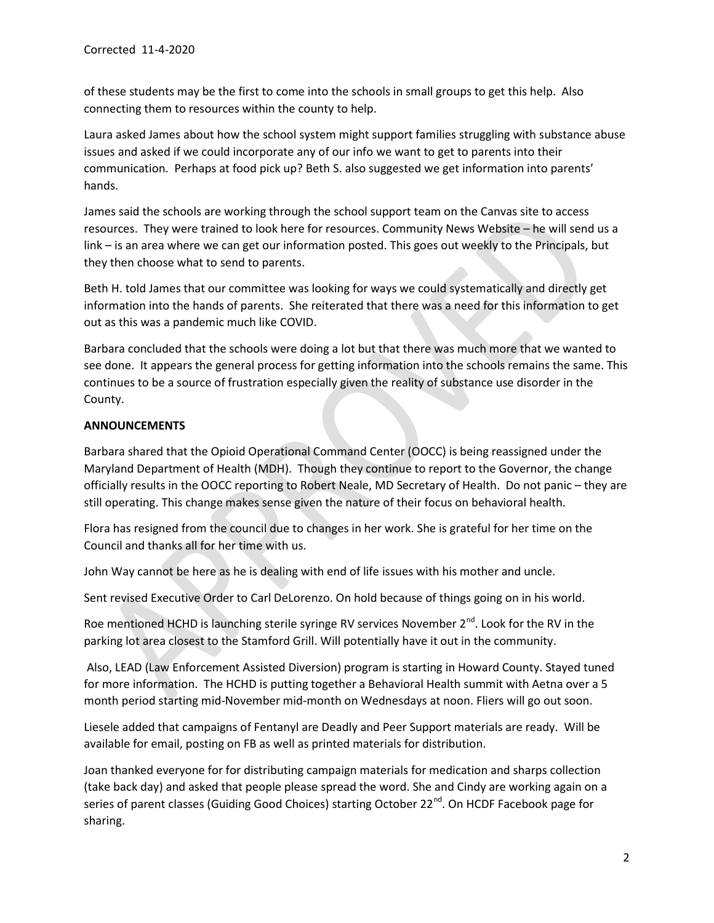of these students may be the first to come into the schools in small groups to get this help. Also connecting them to resources within the county to help.

Laura asked James about how the school system might support families struggling with substance abuse issues and asked if we could incorporate any of our info we want to get to parents into their communication. Perhaps at food pick up? Beth S. also suggested we get information into parents' hands.

James said the schools are working through the school support team on the Canvas site to access resources. They were trained to look here for resources. Community News Website – he will send us a link – is an area where we can get our information posted. This goes out weekly to the Principals, but they then choose what to send to parents.

Beth H. told James that our committee was looking for ways we could systematically and directly get information into the hands of parents. She reiterated that there was a need for this information to get out as this was a pandemic much like COVID.

Barbara concluded that the schools were doing a lot but that there was much more that we wanted to see done. It appears the general process for getting information into the schools remains the same. This continues to be a source of frustration especially given the reality of substance use disorder in the County.

## ANNOUNCEMENTS

Barbara shared that the Opioid Operational Command Center (OOCC) is being reassigned under the Maryland Department of Health (MDH). Though they continue to report to the Governor, the change officially results in the OOCC reporting to Robert Neale, MD Secretary of Health. Do not panic – they are still operating. This change makes sense given the nature of their focus on behavioral health.

Flora has resigned from the council due to changes in her work. She is grateful for her time on the Council and thanks all for her time with us.

John Way cannot be here as he is dealing with end of life issues with his mother and uncle.

Sent revised Executive Order to Carl DeLorenzo. On hold because of things going on in his world.

Roe mentioned HCHD is launching sterile syringe RV services November 2<sup>nd</sup>. Look for the RV in the parking lot area closest to the Stamford Grill. Will potentially have it out in the community.

 Also, LEAD (Law Enforcement Assisted Diversion) program is starting in Howard County. Stayed tuned for more information. The HCHD is putting together a Behavioral Health summit with Aetna over a 5 month period starting mid-November mid-month on Wednesdays at noon. Fliers will go out soon.

Liesele added that campaigns of Fentanyl are Deadly and Peer Support materials are ready. Will be available for email, posting on FB as well as printed materials for distribution.

Joan thanked everyone for for distributing campaign materials for medication and sharps collection (take back day) and asked that people please spread the word. She and Cindy are working again on a series of parent classes (Guiding Good Choices) starting October 22<sup>nd</sup>. On HCDF Facebook page for sharing.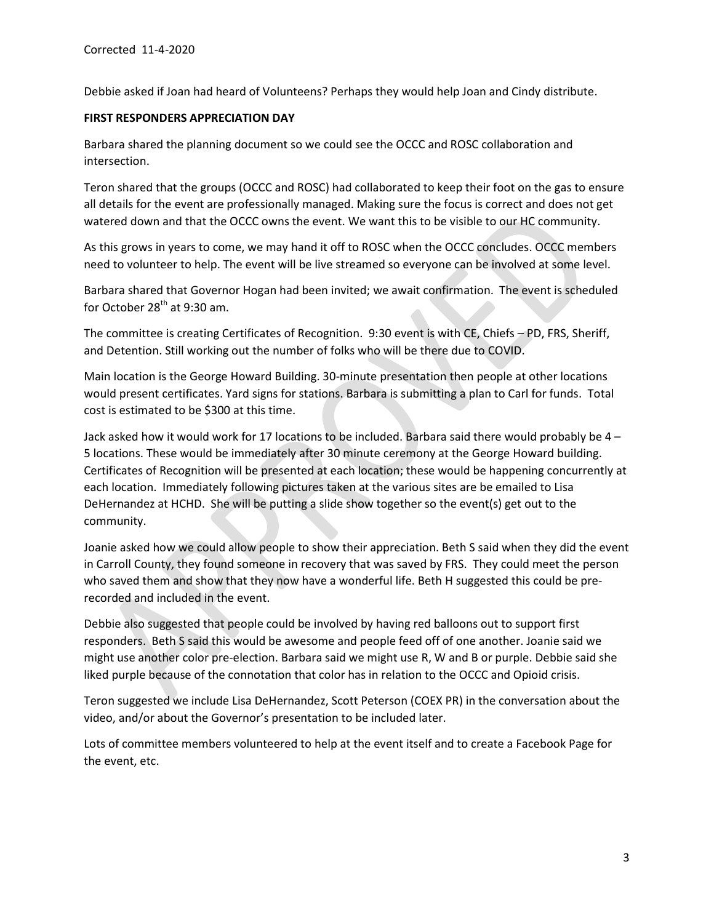Debbie asked if Joan had heard of Volunteens? Perhaps they would help Joan and Cindy distribute.

#### FIRST RESPONDERS APPRECIATION DAY

Barbara shared the planning document so we could see the OCCC and ROSC collaboration and intersection.

Teron shared that the groups (OCCC and ROSC) had collaborated to keep their foot on the gas to ensure all details for the event are professionally managed. Making sure the focus is correct and does not get watered down and that the OCCC owns the event. We want this to be visible to our HC community.

As this grows in years to come, we may hand it off to ROSC when the OCCC concludes. OCCC members need to volunteer to help. The event will be live streamed so everyone can be involved at some level.

Barbara shared that Governor Hogan had been invited; we await confirmation. The event is scheduled for October  $28<sup>th</sup>$  at 9:30 am.

The committee is creating Certificates of Recognition. 9:30 event is with CE, Chiefs – PD, FRS, Sheriff, and Detention. Still working out the number of folks who will be there due to COVID.

Main location is the George Howard Building. 30-minute presentation then people at other locations would present certificates. Yard signs for stations. Barbara is submitting a plan to Carl for funds. Total cost is estimated to be \$300 at this time.

Jack asked how it would work for 17 locations to be included. Barbara said there would probably be 4 – 5 locations. These would be immediately after 30 minute ceremony at the George Howard building. Certificates of Recognition will be presented at each location; these would be happening concurrently at each location. Immediately following pictures taken at the various sites are be emailed to Lisa DeHernandez at HCHD. She will be putting a slide show together so the event(s) get out to the community.

Joanie asked how we could allow people to show their appreciation. Beth S said when they did the event in Carroll County, they found someone in recovery that was saved by FRS. They could meet the person who saved them and show that they now have a wonderful life. Beth H suggested this could be prerecorded and included in the event.

Debbie also suggested that people could be involved by having red balloons out to support first responders. Beth S said this would be awesome and people feed off of one another. Joanie said we might use another color pre-election. Barbara said we might use R, W and B or purple. Debbie said she liked purple because of the connotation that color has in relation to the OCCC and Opioid crisis.

Teron suggested we include Lisa DeHernandez, Scott Peterson (COEX PR) in the conversation about the video, and/or about the Governor's presentation to be included later.

Lots of committee members volunteered to help at the event itself and to create a Facebook Page for the event, etc.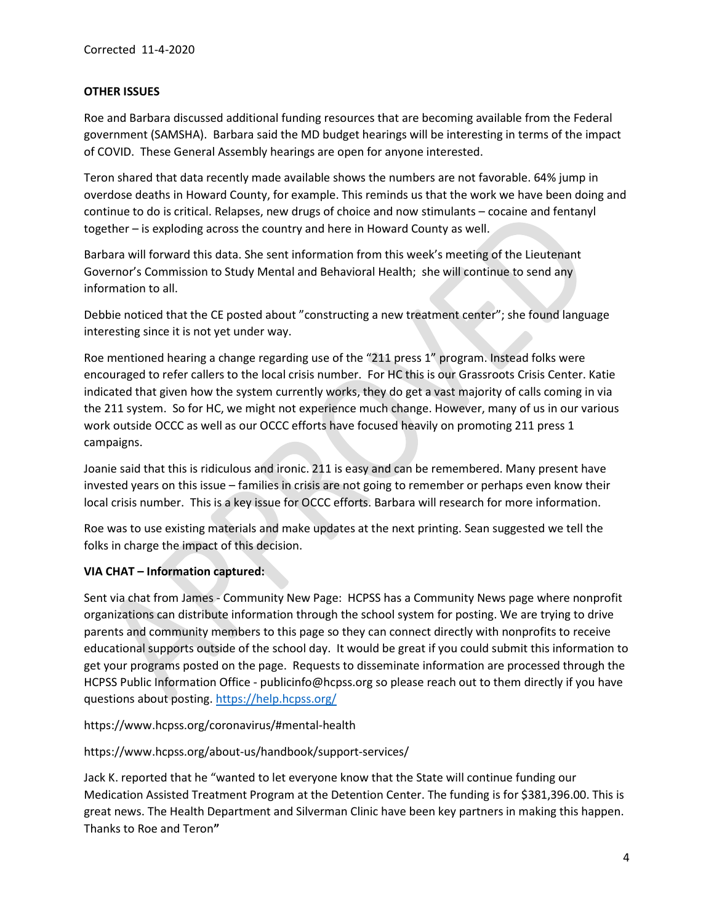## OTHER ISSUES

Roe and Barbara discussed additional funding resources that are becoming available from the Federal government (SAMSHA). Barbara said the MD budget hearings will be interesting in terms of the impact of COVID. These General Assembly hearings are open for anyone interested.

Teron shared that data recently made available shows the numbers are not favorable. 64% jump in overdose deaths in Howard County, for example. This reminds us that the work we have been doing and continue to do is critical. Relapses, new drugs of choice and now stimulants – cocaine and fentanyl together – is exploding across the country and here in Howard County as well.

Barbara will forward this data. She sent information from this week's meeting of the Lieutenant Governor's Commission to Study Mental and Behavioral Health; she will continue to send any information to all.

Debbie noticed that the CE posted about "constructing a new treatment center"; she found language interesting since it is not yet under way.

Roe mentioned hearing a change regarding use of the "211 press 1" program. Instead folks were encouraged to refer callers to the local crisis number. For HC this is our Grassroots Crisis Center. Katie indicated that given how the system currently works, they do get a vast majority of calls coming in via the 211 system. So for HC, we might not experience much change. However, many of us in our various work outside OCCC as well as our OCCC efforts have focused heavily on promoting 211 press 1 campaigns.

Joanie said that this is ridiculous and ironic. 211 is easy and can be remembered. Many present have invested years on this issue – families in crisis are not going to remember or perhaps even know their local crisis number. This is a key issue for OCCC efforts. Barbara will research for more information.

Roe was to use existing materials and make updates at the next printing. Sean suggested we tell the folks in charge the impact of this decision.

## VIA CHAT – Information captured:

Sent via chat from James - Community New Page: HCPSS has a Community News page where nonprofit organizations can distribute information through the school system for posting. We are trying to drive parents and community members to this page so they can connect directly with nonprofits to receive educational supports outside of the school day. It would be great if you could submit this information to get your programs posted on the page. Requests to disseminate information are processed through the HCPSS Public Information Office - publicinfo@hcpss.org so please reach out to them directly if you have questions about posting. https://help.hcpss.org/

## https://www.hcpss.org/coronavirus/#mental-health

## https://www.hcpss.org/about-us/handbook/support-services/

Jack K. reported that he "wanted to let everyone know that the State will continue funding our Medication Assisted Treatment Program at the Detention Center. The funding is for \$381,396.00. This is great news. The Health Department and Silverman Clinic have been key partners in making this happen. Thanks to Roe and Teron"